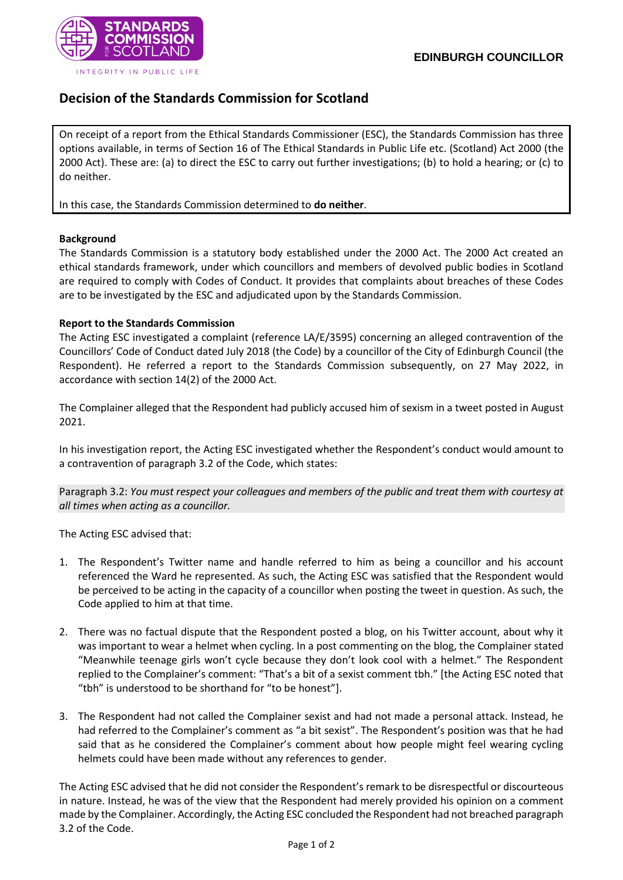

## **Decision of the Standards Commission for Scotland**

On receipt of a report from the Ethical Standards Commissioner (ESC), the Standards Commission has three options available, in terms of Section 16 of The Ethical Standards in Public Life etc. (Scotland) Act 2000 (the 2000 Act). These are: (a) to direct the ESC to carry out further investigations; (b) to hold a hearing; or (c) to do neither.

In this case, the Standards Commission determined to **do neither**.

## **Background**

The Standards Commission is a statutory body established under the 2000 Act. The 2000 Act created an ethical standards framework, under which councillors and members of devolved public bodies in Scotland are required to comply with Codes of Conduct. It provides that complaints about breaches of these Codes are to be investigated by the ESC and adjudicated upon by the Standards Commission.

## **Report to the Standards Commission**

The Acting ESC investigated a complaint (reference LA/E/3595) concerning an alleged contravention of the Councillors' Code of Conduct dated July 2018 (the Code) by a councillor of the City of Edinburgh Council (the Respondent). He referred a report to the Standards Commission subsequently, on 27 May 2022, in accordance with section 14(2) of the 2000 Act.

The Complainer alleged that the Respondent had publicly accused him of sexism in a tweet posted in August 2021.

In his investigation report, the Acting ESC investigated whether the Respondent's conduct would amount to a contravention of paragraph 3.2 of the Code, which states:

Paragraph 3.2: *You must respect your colleagues and members of the public and treat them with courtesy at all times when acting as a councillor.*

The Acting ESC advised that:

- 1. The Respondent's Twitter name and handle referred to him as being a councillor and his account referenced the Ward he represented. As such, the Acting ESC was satisfied that the Respondent would be perceived to be acting in the capacity of a councillor when posting the tweet in question. As such, the Code applied to him at that time.
- 2. There was no factual dispute that the Respondent posted a blog, on his Twitter account, about why it was important to wear a helmet when cycling. In a post commenting on the blog, the Complainer stated "Meanwhile teenage girls won't cycle because they don't look cool with a helmet." The Respondent replied to the Complainer's comment: "That's a bit of a sexist comment tbh." [the Acting ESC noted that "tbh" is understood to be shorthand for "to be honest"].
- 3. The Respondent had not called the Complainer sexist and had not made a personal attack. Instead, he had referred to the Complainer's comment as "a bit sexist". The Respondent's position was that he had said that as he considered the Complainer's comment about how people might feel wearing cycling helmets could have been made without any references to gender.

The Acting ESC advised that he did not consider the Respondent's remark to be disrespectful or discourteous in nature. Instead, he was of the view that the Respondent had merely provided his opinion on a comment made by the Complainer. Accordingly, the Acting ESC concluded the Respondent had not breached paragraph 3.2 of the Code.